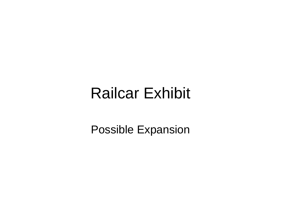### Railcar Exhibit

Possible Expansion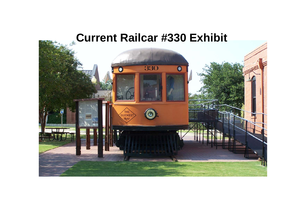### **Current Railcar #330 Exhibit**

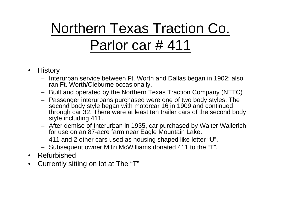# Northern Texas Traction Co. Parlor car #411

#### •History

- Interurban service between Ft. Worth and Dallas began in 1902; also ran Ft. Worth/Cleburne occasionally.
- Built and operated by the Northern Texas Traction Company (NTTC)
- Passenger interurbans purchased were one of two body styles. The second body style began with motorcar 16 in 1909 and continued through car 32. There were at least ten trailer cars of the second body style including 411.
- After demise of Interurban in 1935, car purchased by Walter Wallerich for use on an 87-acre farm near Eagle Mountain Lake.
- 411 and 2 other cars used as housing shaped like letter "U".
- Subsequent owner Mitzi McWilliams donated 411 to the "T".
- $\bullet$ Refurbished
- $\bullet$ Currently sitting on lot at The "T"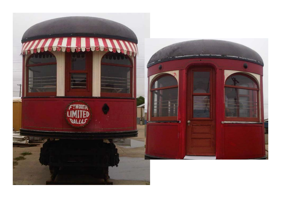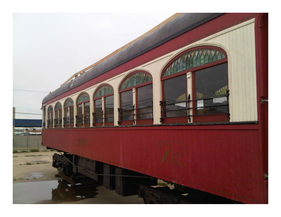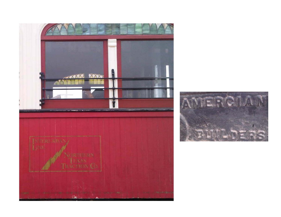

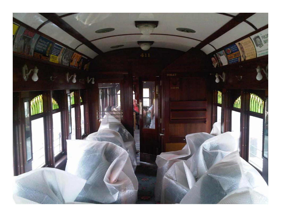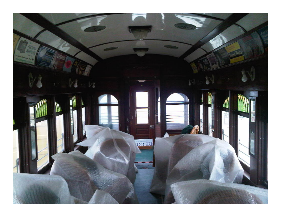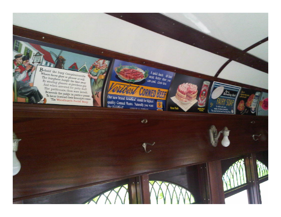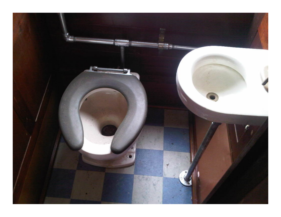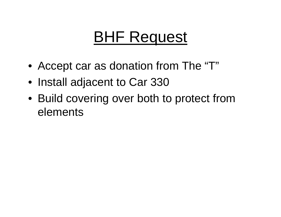## **BHF Request**

- Accept car as donation from The "T"
- Install adjacent to Car 330
- Build covering over both to protect from elements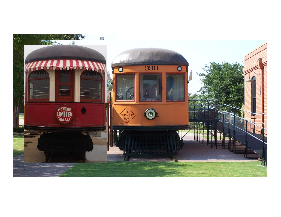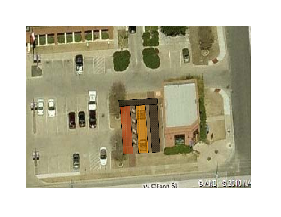